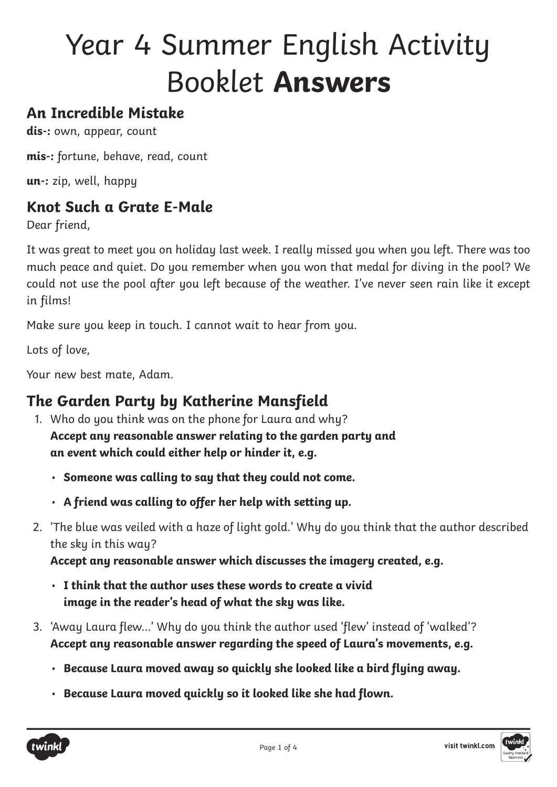# Year 4 Summer English Activity Booklet **Answers**

# **An Incredible Mistake**

**dis-:** own, appear, count

**mis-:** fortune, behave, read, count

**un-:** zip, well, happy

#### **Knot Such a Grate E-Male**

Dear friend,

It was great to meet you on holiday last week. I really missed you when you left. There was too much peace and quiet. Do you remember when you won that medal for diving in the pool? We could not use the pool after you left because of the weather. I've never seen rain like it except in films!

Make sure you keep in touch. I cannot wait to hear from you.

Lots of love,

Your new best mate, Adam.

#### **The Garden Party by Katherine Mansfield**

- 1. Who do you think was on the phone for Laura and why? **Accept any reasonable answer relating to the garden party and an event which could either help or hinder it, e.g.**
	- **Someone was calling to say that they could not come.**
	- **A friend was calling to offer her help with setting up.**
- 2. 'The blue was veiled with a haze of light gold.' Why do you think that the author described the sky in this way?

**Accept any reasonable answer which discusses the imagery created, e.g.**

- **I think that the author uses these words to create a vivid image in the reader's head of what the sky was like.**
- 3. 'Away Laura flew...' Why do you think the author used 'flew' instead of 'walked'? **Accept any reasonable answer regarding the speed of Laura's movements, e.g.**
	- **Because Laura moved away so quickly she looked like a bird flying away.**
	- **Because Laura moved quickly so it looked like she had flown.**

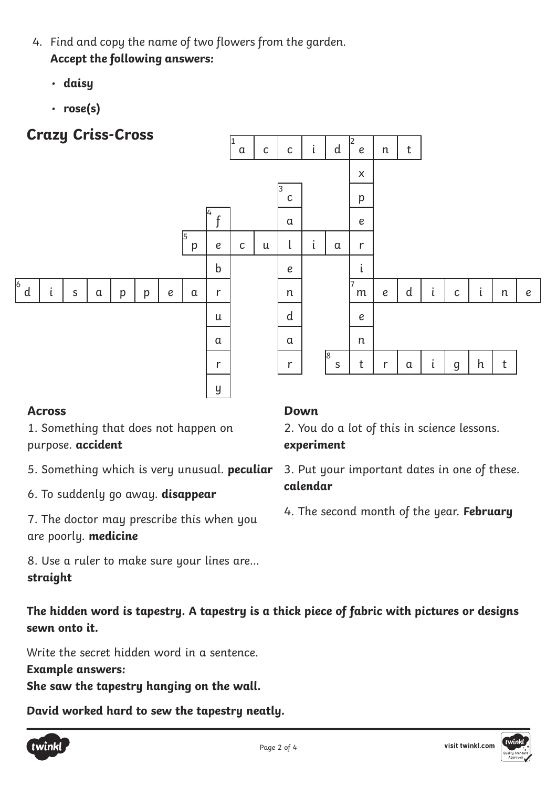- 4. Find and copy the name of two flowers from the garden. **Accept the following answers:**
	- **daisy**
	- **rose(s)**



#### **Across**

1. Something that does not happen on purpose. **accident**

- 5. Something which is very unusual. **peculiar**
- 6. To suddenly go away. **disappear**

7. The doctor may prescribe this when you are poorly. **medicine**

8. Use a ruler to make sure your lines are... **straight**

#### **The hidden word is tapestry. A tapestry is a thick piece of fabric with pictures or designs sewn onto it.**

Page 2 of 4

Write the secret hidden word in a sentence.

**Example answers:** 

**She saw the tapestry hanging on the wall.**

**David worked hard to sew the tapestry neatly.**





2. You do a lot of this in science lessons. **experiment**

3. Put your important dates in one of these. **calendar**

4. The second month of the year. **February**

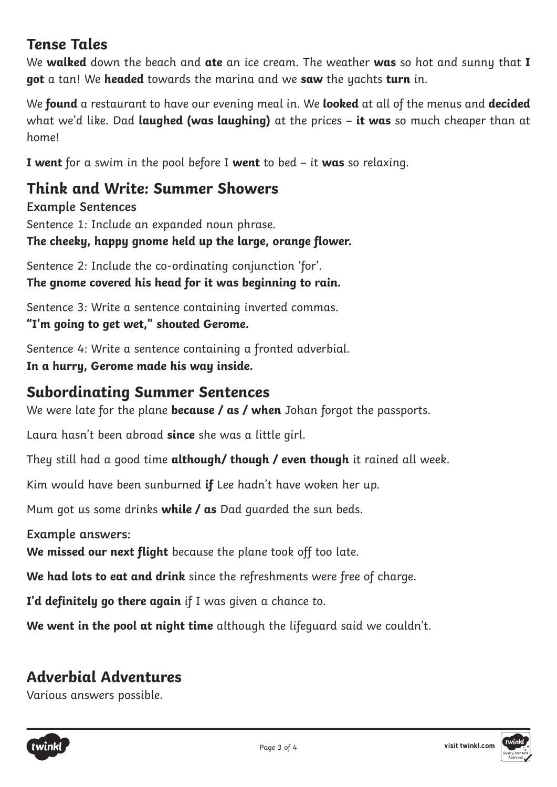## **Tense Tales**

We **walked** down the beach and **ate** an ice cream. The weather **was** so hot and sunny that **I got** a tan! We **headed** towards the marina and we **saw** the yachts **turn** in.

We **found** a restaurant to have our evening meal in. We **looked** at all of the menus and **decided** what we'd like. Dad **laughed (was laughing)** at the prices – **it was** so much cheaper than at home!

**I went** for a swim in the pool before I **went** to bed – it **was** so relaxing.

#### **Think and Write: Summer Showers**

**Example Sentences** Sentence 1: Include an expanded noun phrase. **The cheeky, happy gnome held up the large, orange flower.**

Sentence 2: Include the co-ordinating conjunction 'for'. **The gnome covered his head for it was beginning to rain.**

Sentence 3: Write a sentence containing inverted commas. **"I'm going to get wet," shouted Gerome.**

Sentence 4: Write a sentence containing a fronted adverbial. **In a hurry, Gerome made his way inside.**

#### **Subordinating Summer Sentences**

We were late for the plane **because / as / when** Johan forgot the passports.

Laura hasn't been abroad **since** she was a little girl.

They still had a good time **although/ though / even though** it rained all week.

Kim would have been sunburned **if** Lee hadn't have woken her up.

Mum got us some drinks **while / as** Dad guarded the sun beds.

**Example answers:**

**We missed our next flight** because the plane took off too late.

**We had lots to eat and drink** since the refreshments were free of charge.

**I'd definitely go there again** if I was given a chance to.

**We went in the pool at night time** although the lifeguard said we couldn't.

## **Adverbial Adventures**

Various answers possible.